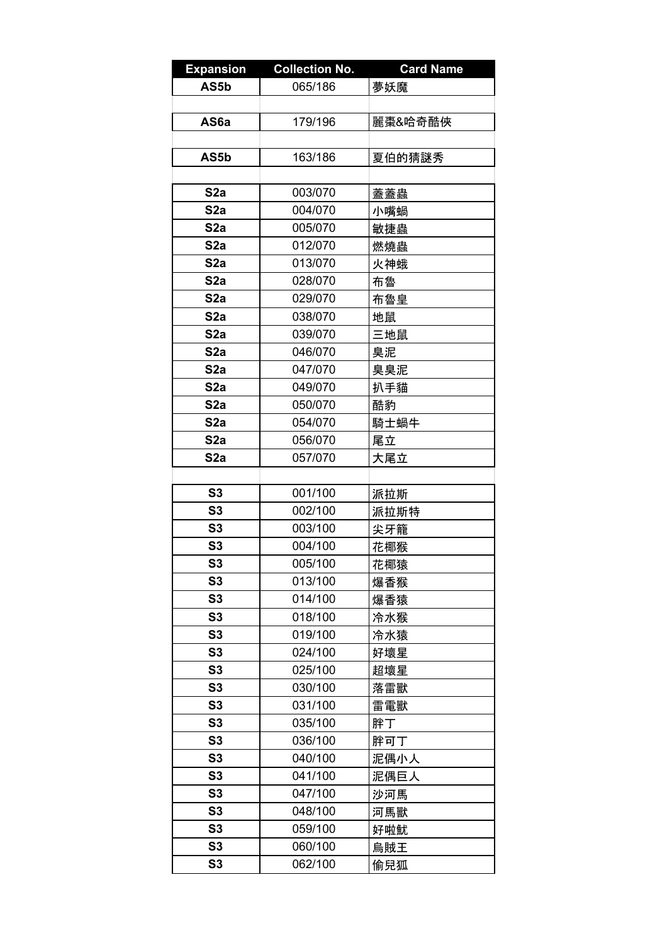| <b>Expansion</b> | <b>Collection No.</b> | <b>Card Name</b> |
|------------------|-----------------------|------------------|
| AS5b             | 065/186               | 夢妖魔              |
|                  |                       |                  |
| AS6a             | 179/196               | 麗棗&哈奇酷俠          |
|                  |                       |                  |
| AS5b             | 163/186               | 夏伯的猜謎秀           |
|                  |                       |                  |
| S <sub>2a</sub>  | 003/070               | 蓋蓋蟲              |
| S2a              | 004/070               | 小嘴蝸              |
| S <sub>2</sub> a | 005/070               | 敏捷蟲              |
| S <sub>2</sub> a | 012/070               | 燃燒蟲              |
| S <sub>2</sub> a | 013/070               | 火神蛾              |
| S <sub>2</sub> a | 028/070               | 布魯               |
| S <sub>2</sub> a | 029/070               | 布魯皇              |
| S <sub>2</sub> a | 038/070               | 地鼠               |
| S <sub>2</sub> a | 039/070               | 三地鼠              |
| S2a              | 046/070               | 臭泥               |
| S <sub>2</sub> a | 047/070               | 臭臭泥              |
| S <sub>2</sub> a | 049/070               | 扒手貓              |
| S <sub>2</sub> a | 050/070               | 酷豹               |
| S <sub>2</sub> a | 054/070               |                  |
| S <sub>2</sub> a | 056/070               | 騎士蝸牛             |
| S <sub>2</sub> a | 057/070               | 尾立               |
|                  |                       | 大尾立              |
| S3               | 001/100               |                  |
| S <sub>3</sub>   | 002/100               | 派拉斯              |
| S3               | 003/100               | 派拉斯特             |
| S3               | 004/100               | 尖牙籠<br>花椰猴       |
| S3               | 005/100               |                  |
| S <sub>3</sub>   |                       | 花椰猿              |
| S <sub>3</sub>   | 013/100<br>014/100    | 爆香猴              |
| S <sub>3</sub>   |                       | 爆香猿              |
| S <sub>3</sub>   | 018/100<br>019/100    | 冷水猴              |
|                  |                       | 冷水猿              |
| S <sub>3</sub>   | 024/100               | 好壞星              |
| S <sub>3</sub>   | 025/100               | 超壞星              |
| S <sub>3</sub>   | 030/100               | 落雷獸              |
| S <sub>3</sub>   | 031/100               | 雷電獸              |
| S <sub>3</sub>   | 035/100               | 胖丁               |
| S <sub>3</sub>   | 036/100               | 胖可丁              |
| S <sub>3</sub>   | 040/100               | 泥偶小人             |
| S <sub>3</sub>   | 041/100               | 泥偶巨人             |
| S <sub>3</sub>   | 047/100               | 沙河馬              |
| S <sub>3</sub>   | 048/100               | 河馬獸              |
| S <sub>3</sub>   | 059/100               | 好啦魷              |
| S <sub>3</sub>   | 060/100               | 烏賊王              |
| S <sub>3</sub>   | 062/100               | 偷兒狐              |